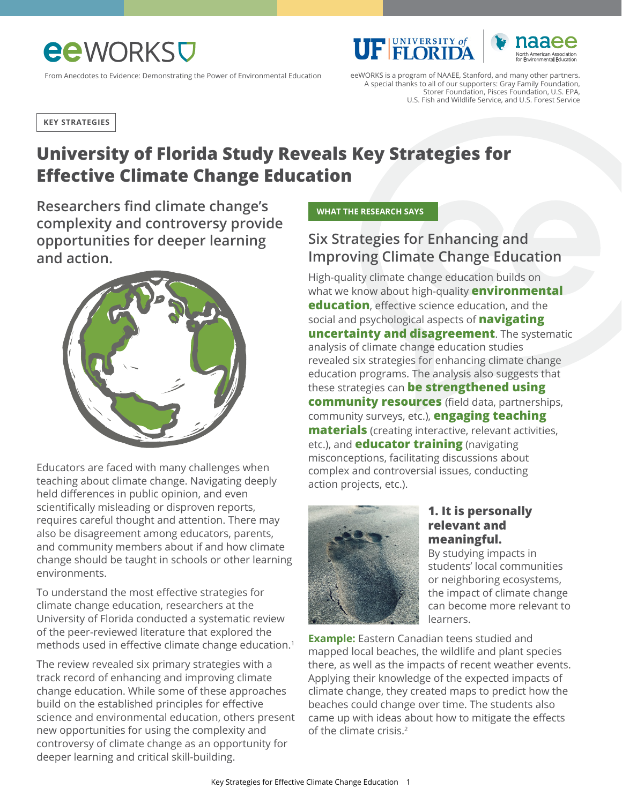# **ee**WORKS<sub>V</sub>

From Anecdotes to Evidence: Demonstrating the Power of Environmental Education

eeWORKS is a program of NAAEE, Stanford, and many other partners. A special thanks to all of our supporters: Gray Family Foundation, Storer Foundation, Pisces Foundation, U.S. EPA, U.S. Fish and Wildlife Service, and U.S. Forest Service

**UF FLORIDA** 

**KEY STRATEGIES**

## **University of Florida Study Reveals Key Strategies for Effective Climate Change Education**

**Researchers find climate change's complexity and controversy provide opportunities for deeper learning and action.** 



Educators are faced with many challenges when teaching about climate change. Navigating deeply held differences in public opinion, and even scientifically misleading or disproven reports, requires careful thought and attention. There may also be disagreement among educators, parents, and community members about if and how climate change should be taught in schools or other learning environments.

To understand the most effective strategies for climate change education, researchers at the University of Florida conducted a systematic review of the peer-reviewed literature that explored the methods used in effective climate change education.1

The review revealed six primary strategies with a track record of enhancing and improving climate change education. While some of these approaches build on the established principles for effective science and environmental education, others present new opportunities for using the complexity and controversy of climate change as an opportunity for deeper learning and critical skill-building.

 **WHAT THE RESEARCH SAYS** 

### **Six Strategies for Enhancing and Improving Climate Change Education**

High-quality climate change education builds on what we know about high-quality **environmental education**, effective science education, and the social and psychological aspects of **navigating uncertainty and disagreement**. The systematic analysis of climate change education studies revealed six strategies for enhancing climate change education programs. The analysis also suggests that these strategies can **be strengthened using community resources** (field data, partnerships, community surveys, etc.), **engaging teaching materials** (creating interactive, relevant activities, etc.), and **educator training** (navigating misconceptions, facilitating discussions about complex and controversial issues, conducting action projects, etc.).



#### **1. It is personally relevant and meaningful.**

By studying impacts in students' local communities or neighboring ecosystems, the impact of climate change can become more relevant to learners.

**Example:** Eastern Canadian teens studied and mapped local beaches, the wildlife and plant species there, as well as the impacts of recent weather events. Applying their knowledge of the expected impacts of climate change, they created maps to predict how the beaches could change over time. The students also came up with ideas about how to mitigate the effects of the climate crisis.<sup>2</sup>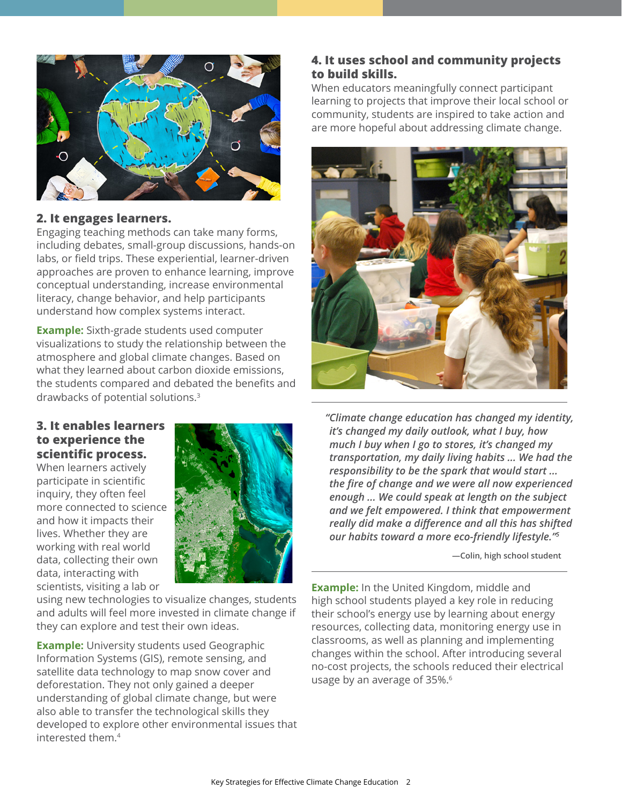

#### **2. It engages learners.**

Engaging teaching methods can take many forms, including debates, small-group discussions, hands-on labs, or field trips. These experiential, learner-driven approaches are proven to enhance learning, improve conceptual understanding, increase environmental literacy, change behavior, and help participants understand how complex systems interact.

**Example:** Sixth-grade students used computer visualizations to study the relationship between the atmosphere and global climate changes. Based on what they learned about carbon dioxide emissions, the students compared and debated the benefits and drawbacks of potential solutions.3

#### **3. It enables learners to experience the scientific process.**

When learners actively participate in scientific inquiry, they often feel more connected to science and how it impacts their lives. Whether they are working with real world data, collecting their own data, interacting with scientists, visiting a lab or



using new technologies to visualize changes, students and adults will feel more invested in climate change if they can explore and test their own ideas.

**Example:** University students used Geographic Information Systems (GIS), remote sensing, and satellite data technology to map snow cover and deforestation. They not only gained a deeper understanding of global climate change, but were also able to transfer the technological skills they developed to explore other environmental issues that interested them.<sup>4</sup>

#### **4. It uses school and community projects to build skills.**

When educators meaningfully connect participant learning to projects that improve their local school or community, students are inspired to take action and are more hopeful about addressing climate change.



 *"Climate change education has changed my identity, it's changed my daily outlook, what I buy, how much I buy when I go to stores, it's changed my transportation, my daily living habits ... We had the responsibility to be the spark that would start ... the fire of change and we were all now experienced enough ... We could speak at length on the subject and we felt empowered. I think that empowerment really did make a difference and all this has shifted our habits toward a more eco-friendly lifestyle."<sup>5</sup>*

 **—Colin, high school student** 

**Example:** In the United Kingdom, middle and high school students played a key role in reducing their school's energy use by learning about energy resources, collecting data, monitoring energy use in classrooms, as well as planning and implementing changes within the school. After introducing several no-cost projects, the schools reduced their electrical usage by an average of 35%.<sup>6</sup>